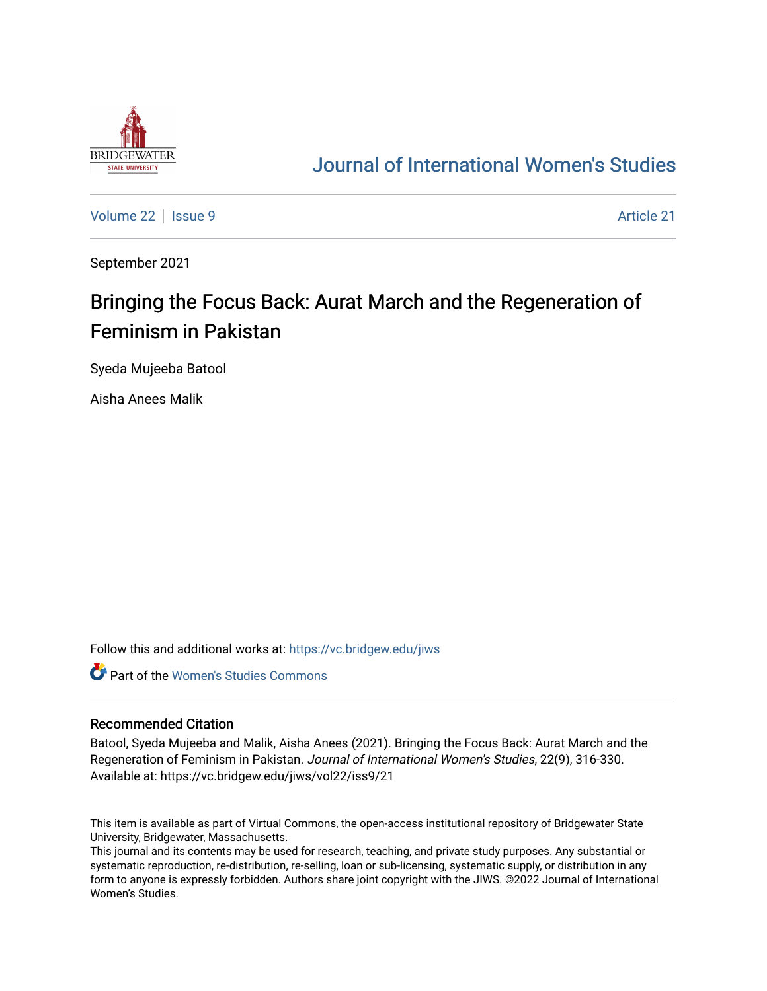

## [Journal of International Women's Studies](https://vc.bridgew.edu/jiws)

[Volume 22](https://vc.bridgew.edu/jiws/vol22) | [Issue 9](https://vc.bridgew.edu/jiws/vol22/iss9) Article 21

September 2021

# Bringing the Focus Back: Aurat March and the Regeneration of Feminism in Pakistan

Syeda Mujeeba Batool

Aisha Anees Malik

Follow this and additional works at: [https://vc.bridgew.edu/jiws](https://vc.bridgew.edu/jiws?utm_source=vc.bridgew.edu%2Fjiws%2Fvol22%2Fiss9%2F21&utm_medium=PDF&utm_campaign=PDFCoverPages)

**C** Part of the Women's Studies Commons

#### Recommended Citation

Batool, Syeda Mujeeba and Malik, Aisha Anees (2021). Bringing the Focus Back: Aurat March and the Regeneration of Feminism in Pakistan. Journal of International Women's Studies, 22(9), 316-330. Available at: https://vc.bridgew.edu/jiws/vol22/iss9/21

This item is available as part of Virtual Commons, the open-access institutional repository of Bridgewater State University, Bridgewater, Massachusetts.

This journal and its contents may be used for research, teaching, and private study purposes. Any substantial or systematic reproduction, re-distribution, re-selling, loan or sub-licensing, systematic supply, or distribution in any form to anyone is expressly forbidden. Authors share joint copyright with the JIWS. ©2022 Journal of International Women's Studies.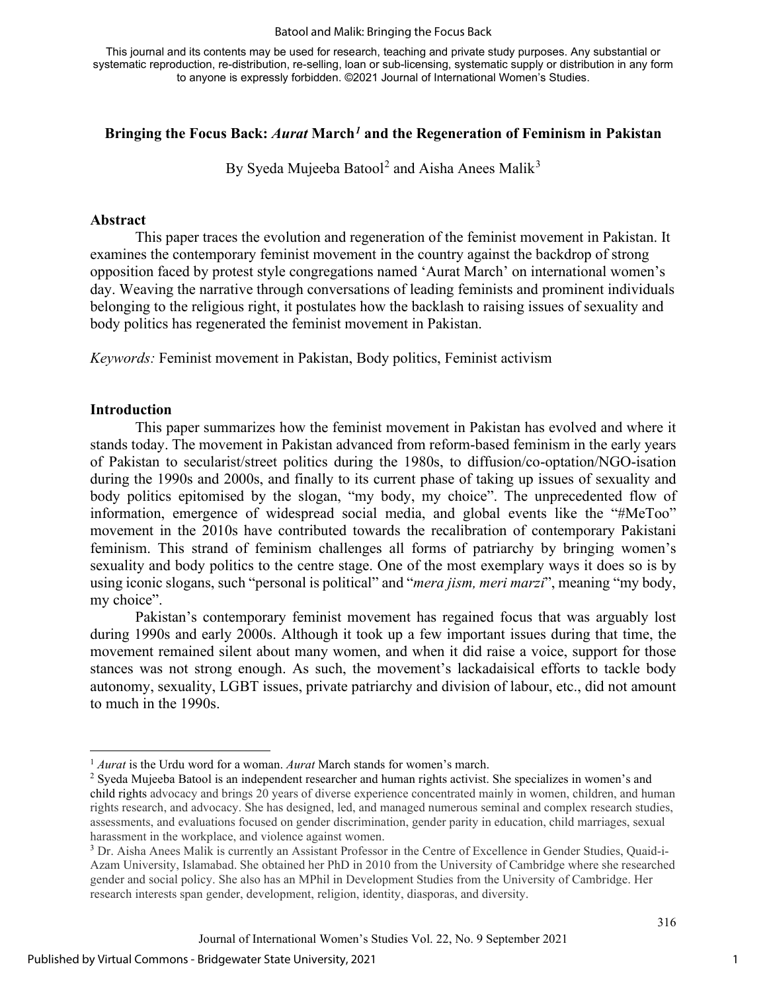#### Batool and Malik: Bringing the Focus Back

This journal and its contents may be used for research, teaching and private study purposes. Any substantial or systematic reproduction, re-distribution, re-selling, loan or sub-licensing, systematic supply or distribution in any form to anyone is expressly forbidden. ©2021 Journal of International Women's Studies.

#### **Bringing the Focus Back:** *Aurat* **March***[1](#page-1-0)* **and the Regeneration of Feminism in Pakistan**

By Syeda Mujeeba Batool<sup>[2](#page-1-1)</sup> and Aisha Anees Malik<sup>[3](#page-1-2)</sup>

#### **Abstract**

 This paper traces the evolution and regeneration of the feminist movement in Pakistan. It examines the contemporary feminist movement in the country against the backdrop of strong opposition faced by protest style congregations named 'Aurat March' on international women's day. Weaving the narrative through conversations of leading feminists and prominent individuals belonging to the religious right, it postulates how the backlash to raising issues of sexuality and body politics has regenerated the feminist movement in Pakistan.

*Keywords:* Feminist movement in Pakistan, Body politics, Feminist activism

#### **Introduction**

This paper summarizes how the feminist movement in Pakistan has evolved and where it stands today. The movement in Pakistan advanced from reform-based feminism in the early years of Pakistan to secularist/street politics during the 1980s, to diffusion/co-optation/NGO-isation during the 1990s and 2000s, and finally to its current phase of taking up issues of sexuality and body politics epitomised by the slogan, "my body, my choice". The unprecedented flow of information, emergence of widespread social media, and global events like the "#MeToo" movement in the 2010s have contributed towards the recalibration of contemporary Pakistani feminism. This strand of feminism challenges all forms of patriarchy by bringing women's sexuality and body politics to the centre stage. One of the most exemplary ways it does so is by using iconic slogans, such "personal is political" and "*mera jism, meri marzi*", meaning "my body, my choice".

Pakistan's contemporary feminist movement has regained focus that was arguably lost during 1990s and early 2000s. Although it took up a few important issues during that time, the movement remained silent about many women, and when it did raise a voice, support for those stances was not strong enough. As such, the movement's lackadaisical efforts to tackle body autonomy, sexuality, LGBT issues, private patriarchy and division of labour, etc., did not amount to much in the 1990s.

<span id="page-1-0"></span><sup>1</sup> *Aurat* is the Urdu word for a woman. *Aurat* March stands for women's march.

<span id="page-1-1"></span><sup>&</sup>lt;sup>2</sup> Syeda Mujeeba Batool is an independent researcher and human rights activist. She specializes in women's and child rights advocacy and brings 20 years of diverse experience concentrated mainly in women, children, and human rights research, and advocacy. She has designed, led, and managed numerous seminal and complex research studies, assessments, and evaluations focused on gender discrimination, gender parity in education, child marriages, sexual harassment in the workplace, and violence against women.

<span id="page-1-2"></span><sup>3</sup> Dr. Aisha Anees Malik is currently an Assistant Professor in the Centre of Excellence in Gender Studies, Quaid-i-Azam University, Islamabad. She obtained her PhD in 2010 from the University of Cambridge where she researched gender and social policy. She also has an MPhil in Development Studies from the University of Cambridge. Her research interests span gender, development, religion, identity, diasporas, and diversity.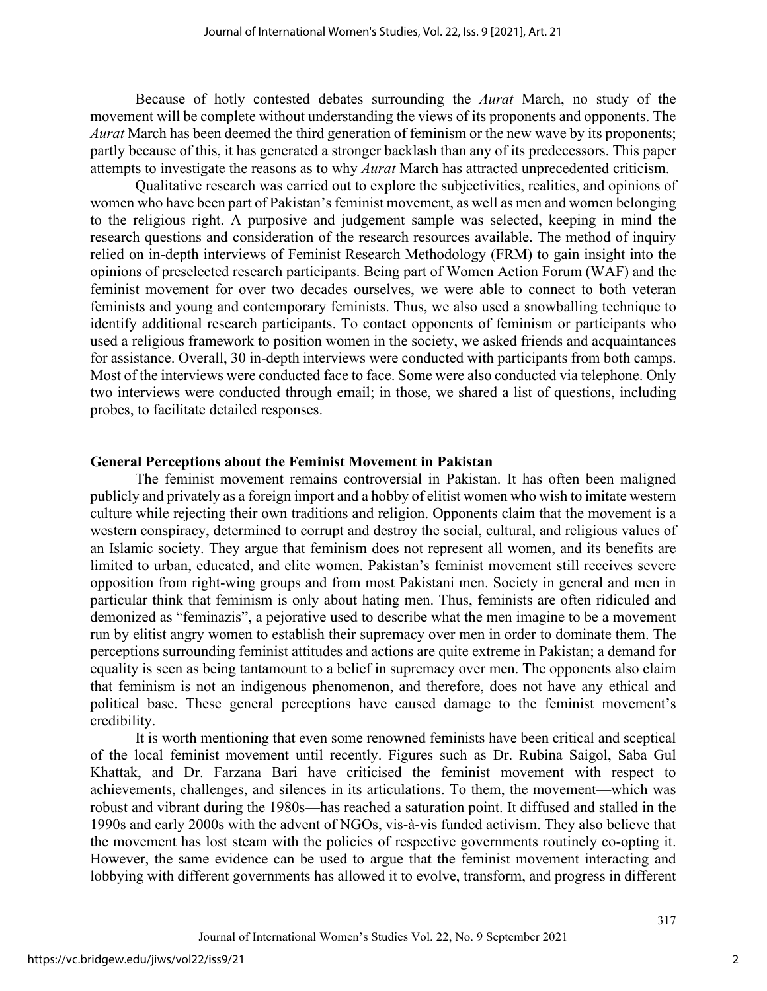Because of hotly contested debates surrounding the *Aurat* March, no study of the movement will be complete without understanding the views of its proponents and opponents. The *Aurat* March has been deemed the third generation of feminism or the new wave by its proponents; partly because of this, it has generated a stronger backlash than any of its predecessors. This paper attempts to investigate the reasons as to why *Aurat* March has attracted unprecedented criticism.

Qualitative research was carried out to explore the subjectivities, realities, and opinions of women who have been part of Pakistan's feminist movement, as well as men and women belonging to the religious right. A purposive and judgement sample was selected, keeping in mind the research questions and consideration of the research resources available. The method of inquiry relied on in-depth interviews of Feminist Research Methodology (FRM) to gain insight into the opinions of preselected research participants. Being part of Women Action Forum (WAF) and the feminist movement for over two decades ourselves, we were able to connect to both veteran feminists and young and contemporary feminists. Thus, we also used a snowballing technique to identify additional research participants. To contact opponents of feminism or participants who used a religious framework to position women in the society, we asked friends and acquaintances for assistance. Overall, 30 in-depth interviews were conducted with participants from both camps. Most of the interviews were conducted face to face. Some were also conducted via telephone. Only two interviews were conducted through email; in those, we shared a list of questions, including probes, to facilitate detailed responses.

#### **General Perceptions about the Feminist Movement in Pakistan**

The feminist movement remains controversial in Pakistan. It has often been maligned publicly and privately as a foreign import and a hobby of elitist women who wish to imitate western culture while rejecting their own traditions and religion. Opponents claim that the movement is a western conspiracy, determined to corrupt and destroy the social, cultural, and religious values of an Islamic society. They argue that feminism does not represent all women, and its benefits are limited to urban, educated, and elite women. Pakistan's feminist movement still receives severe opposition from right-wing groups and from most Pakistani men. Society in general and men in particular think that feminism is only about hating men. Thus, feminists are often ridiculed and demonized as "feminazis", a pejorative used to describe what the men imagine to be a movement run by elitist angry women to establish their supremacy over men in order to dominate them. The perceptions surrounding feminist attitudes and actions are quite extreme in Pakistan; a demand for equality is seen as being tantamount to a belief in supremacy over men. The opponents also claim that feminism is not an indigenous phenomenon, and therefore, does not have any ethical and political base. These general perceptions have caused damage to the feminist movement's credibility.

It is worth mentioning that even some renowned feminists have been critical and sceptical of the local feminist movement until recently. Figures such as Dr. Rubina Saigol, Saba Gul Khattak, and Dr. Farzana Bari have criticised the feminist movement with respect to achievements, challenges, and silences in its articulations. To them, the movement—which was robust and vibrant during the 1980s—has reached a saturation point. It diffused and stalled in the 1990s and early 2000s with the advent of NGOs, vis-à-vis funded activism. They also believe that the movement has lost steam with the policies of respective governments routinely co-opting it. However, the same evidence can be used to argue that the feminist movement interacting and lobbying with different governments has allowed it to evolve, transform, and progress in different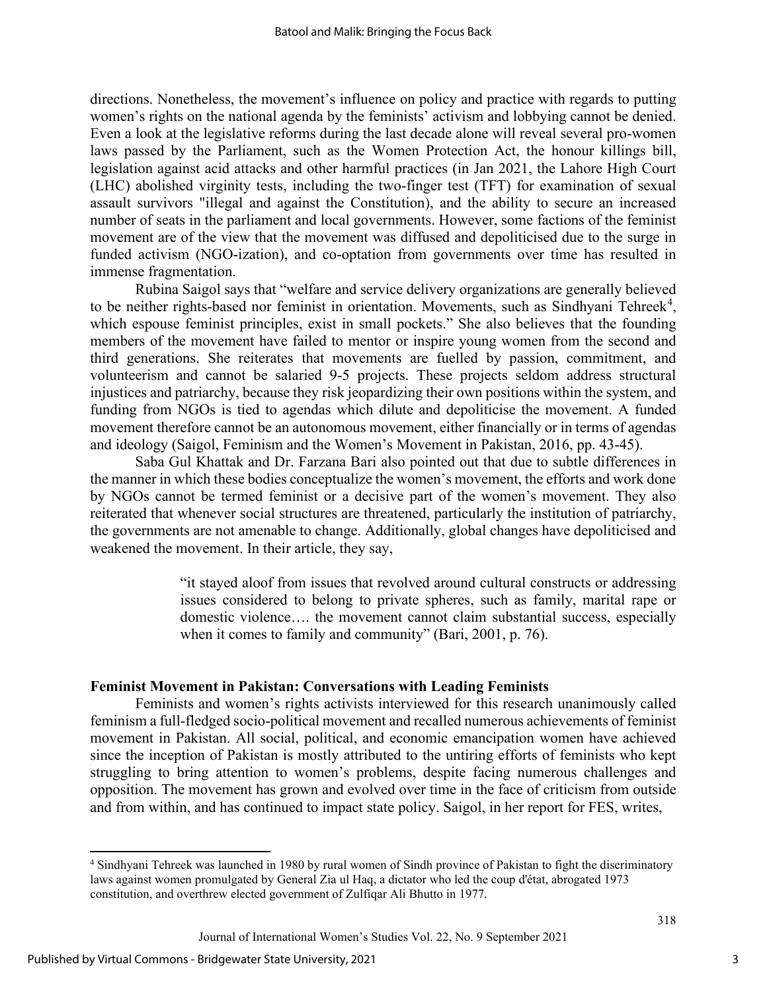directions. Nonetheless, the movement's influence on policy and practice with regards to putting women's rights on the national agenda by the feminists' activism and lobbying cannot be denied. Even a look at the legislative reforms during the last decade alone will reveal several pro-women laws passed by the Parliament, such as the Women Protection Act, the honour killings bill, legislation against acid attacks and other harmful practices (in Jan 2021, the Lahore High Court (LHC) abolished virginity tests, including the two-finger test (TFT) for examination of sexual assault survivors "illegal and against the Constitution), and the ability to secure an increased number of seats in the parliament and local governments. However, some factions of the feminist movement are of the view that the movement was diffused and depoliticised due to the surge in funded activism (NGO-ization), and co-optation from governments over time has resulted in immense fragmentation.

Rubina Saigol says that "welfare and service delivery organizations are generally believed to be neither rights-based nor feminist in orientation. Movements, such as Sindhyani Tehreek<sup>[4](#page-3-0)</sup>, which espouse feminist principles, exist in small pockets." She also believes that the founding members of the movement have failed to mentor or inspire young women from the second and third generations. She reiterates that movements are fuelled by passion, commitment, and volunteerism and cannot be salaried 9-5 projects. These projects seldom address structural injustices and patriarchy, because they risk jeopardizing their own positions within the system, and funding from NGOs is tied to agendas which dilute and depoliticise the movement. A funded movement therefore cannot be an autonomous movement, either financially or in terms of agendas and ideology (Saigol, Feminism and the Women's Movement in Pakistan, 2016, pp. 43-45).

Saba Gul Khattak and Dr. Farzana Bari also pointed out that due to subtle differences in the manner in which these bodies conceptualize the women's movement, the efforts and work done by NGOs cannot be termed feminist or a decisive part of the women's movement. They also reiterated that whenever social structures are threatened, particularly the institution of patriarchy, the governments are not amenable to change. Additionally, global changes have depoliticised and weakened the movement. In their article, they say,

> "it stayed aloof from issues that revolved around cultural constructs or addressing issues considered to belong to private spheres, such as family, marital rape or domestic violence…. the movement cannot claim substantial success, especially when it comes to family and community" (Bari, 2001, p. 76).

#### **Feminist Movement in Pakistan: Conversations with Leading Feminists**

Feminists and women's rights activists interviewed for this research unanimously called feminism a full-fledged socio-political movement and recalled numerous achievements of feminist movement in Pakistan. All social, political, and economic emancipation women have achieved since the inception of Pakistan is mostly attributed to the untiring efforts of feminists who kept struggling to bring attention to women's problems, despite facing numerous challenges and opposition. The movement has grown and evolved over time in the face of criticism from outside and from within, and has continued to impact state policy. Saigol, in her report for FES, writes,

<span id="page-3-0"></span><sup>4</sup> Sindhyani Tehreek was launched in 1980 by rural women of Sindh province of Pakistan to fight the discriminatory laws against women promulgated by General Zia ul Haq, a dictator who led the coup d'état, abrogated 1973 constitution, and overthrew elected government of Zulfiqar Ali Bhutto in 1977.

Journal of International Women's Studies Vol. 22, No. 9 September 2021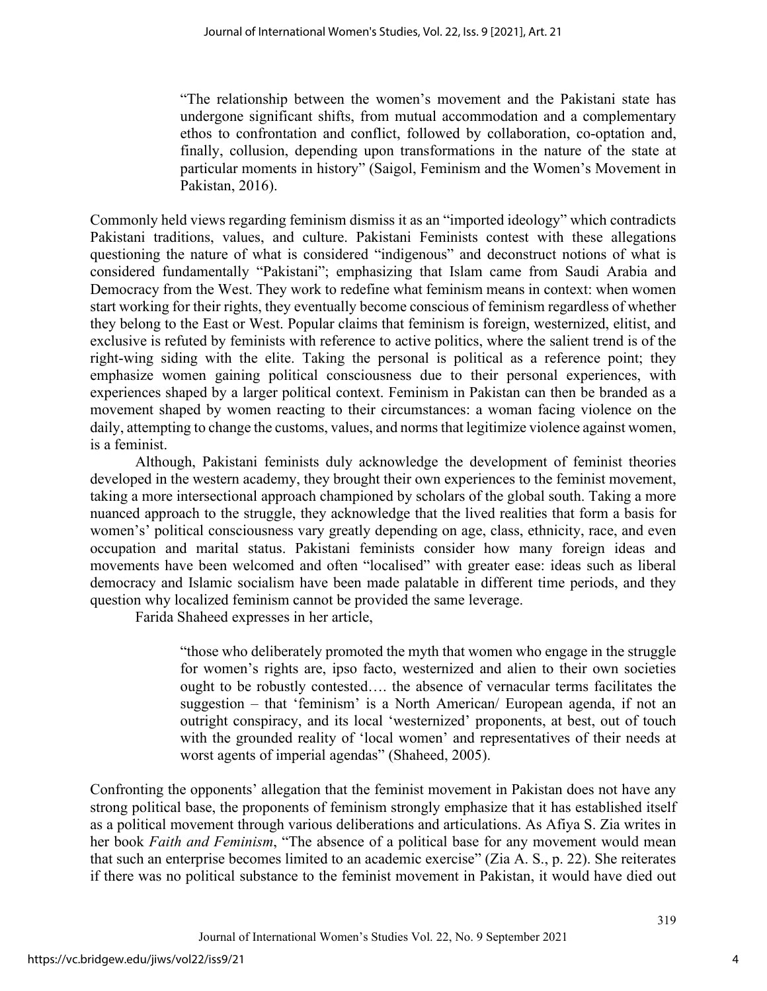"The relationship between the women's movement and the Pakistani state has undergone significant shifts, from mutual accommodation and a complementary ethos to confrontation and conflict, followed by collaboration, co-optation and, finally, collusion, depending upon transformations in the nature of the state at particular moments in history" (Saigol, Feminism and the Women's Movement in Pakistan, 2016).

Commonly held views regarding feminism dismiss it as an "imported ideology" which contradicts Pakistani traditions, values, and culture. Pakistani Feminists contest with these allegations questioning the nature of what is considered "indigenous" and deconstruct notions of what is considered fundamentally "Pakistani"; emphasizing that Islam came from Saudi Arabia and Democracy from the West. They work to redefine what feminism means in context: when women start working for their rights, they eventually become conscious of feminism regardless of whether they belong to the East or West. Popular claims that feminism is foreign, westernized, elitist, and exclusive is refuted by feminists with reference to active politics, where the salient trend is of the right-wing siding with the elite. Taking the personal is political as a reference point; they emphasize women gaining political consciousness due to their personal experiences, with experiences shaped by a larger political context. Feminism in Pakistan can then be branded as a movement shaped by women reacting to their circumstances: a woman facing violence on the daily, attempting to change the customs, values, and norms that legitimize violence against women, is a feminist.

Although, Pakistani feminists duly acknowledge the development of feminist theories developed in the western academy, they brought their own experiences to the feminist movement, taking a more intersectional approach championed by scholars of the global south. Taking a more nuanced approach to the struggle, they acknowledge that the lived realities that form a basis for women's' political consciousness vary greatly depending on age, class, ethnicity, race, and even occupation and marital status. Pakistani feminists consider how many foreign ideas and movements have been welcomed and often "localised" with greater ease: ideas such as liberal democracy and Islamic socialism have been made palatable in different time periods, and they question why localized feminism cannot be provided the same leverage.

Farida Shaheed expresses in her article,

"those who deliberately promoted the myth that women who engage in the struggle for women's rights are, ipso facto, westernized and alien to their own societies ought to be robustly contested…. the absence of vernacular terms facilitates the suggestion – that 'feminism' is a North American/ European agenda, if not an outright conspiracy, and its local 'westernized' proponents, at best, out of touch with the grounded reality of 'local women' and representatives of their needs at worst agents of imperial agendas" (Shaheed, 2005).

Confronting the opponents' allegation that the feminist movement in Pakistan does not have any strong political base, the proponents of feminism strongly emphasize that it has established itself as a political movement through various deliberations and articulations. As Afiya S. Zia writes in her book *Faith and Feminism*, "The absence of a political base for any movement would mean that such an enterprise becomes limited to an academic exercise" (Zia A. S., p. 22). She reiterates if there was no political substance to the feminist movement in Pakistan, it would have died out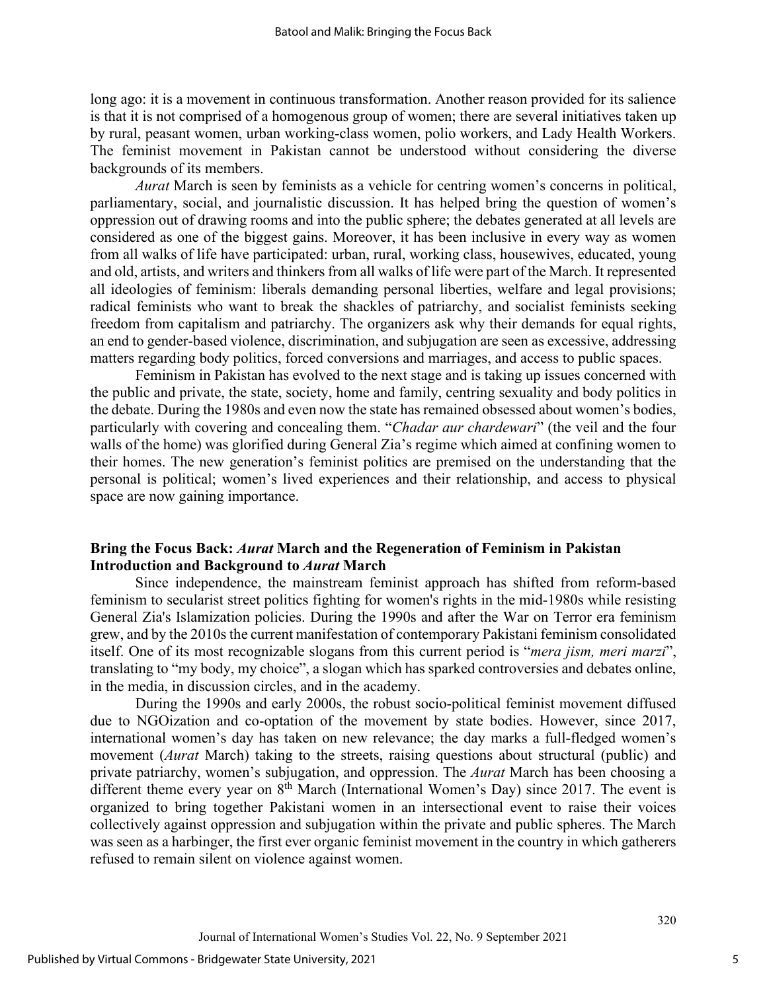long ago: it is a movement in continuous transformation. Another reason provided for its salience is that it is not comprised of a homogenous group of women; there are several initiatives taken up by rural, peasant women, urban working-class women, polio workers, and Lady Health Workers. The feminist movement in Pakistan cannot be understood without considering the diverse backgrounds of its members.

*Aurat* March is seen by feminists as a vehicle for centring women's concerns in political, parliamentary, social, and journalistic discussion. It has helped bring the question of women's oppression out of drawing rooms and into the public sphere; the debates generated at all levels are considered as one of the biggest gains. Moreover, it has been inclusive in every way as women from all walks of life have participated: urban, rural, working class, housewives, educated, young and old, artists, and writers and thinkers from all walks of life were part of the March. It represented all ideologies of feminism: liberals demanding personal liberties, welfare and legal provisions; radical feminists who want to break the shackles of patriarchy, and socialist feminists seeking freedom from capitalism and patriarchy. The organizers ask why their demands for equal rights, an end to gender-based violence, discrimination, and subjugation are seen as excessive, addressing matters regarding body politics, forced conversions and marriages, and access to public spaces.

Feminism in Pakistan has evolved to the next stage and is taking up issues concerned with the public and private, the state, society, home and family, centring sexuality and body politics in the debate. During the 1980s and even now the state has remained obsessed about women's bodies, particularly with covering and concealing them. "*Chadar aur chardewari*" (the veil and the four walls of the home) was glorified during General Zia's regime which aimed at confining women to their homes. The new generation's feminist politics are premised on the understanding that the personal is political; women's lived experiences and their relationship, and access to physical space are now gaining importance.

### **Bring the Focus Back:** *Aurat* **March and the Regeneration of Feminism in Pakistan Introduction and Background to** *Aurat* **March**

Since independence, the mainstream feminist approach has shifted from reform-based feminism to secularist street politics fighting for women's rights in the mid-1980s while resisting General Zia's Islamization policies. During the 1990s and after the War on Terror era feminism grew, and by the 2010s the current manifestation of contemporary Pakistani feminism consolidated itself. One of its most recognizable slogans from this current period is "*mera jism, meri marzi*", translating to "my body, my choice", a slogan which has sparked controversies and debates online, in the media, in discussion circles, and in the academy.

During the 1990s and early 2000s, the robust socio-political feminist movement diffused due to NGOization and co-optation of the movement by state bodies. However, since 2017, international women's day has taken on new relevance; the day marks a full-fledged women's movement (*Aurat* March) taking to the streets, raising questions about structural (public) and private patriarchy, women's subjugation, and oppression. The *Aurat* March has been choosing a different theme every year on  $8<sup>th</sup>$  March (International Women's Day) since 2017. The event is organized to bring together Pakistani women in an intersectional event to raise their voices collectively against oppression and subjugation within the private and public spheres. The March was seen as a harbinger, the first ever organic feminist movement in the country in which gatherers refused to remain silent on violence against women.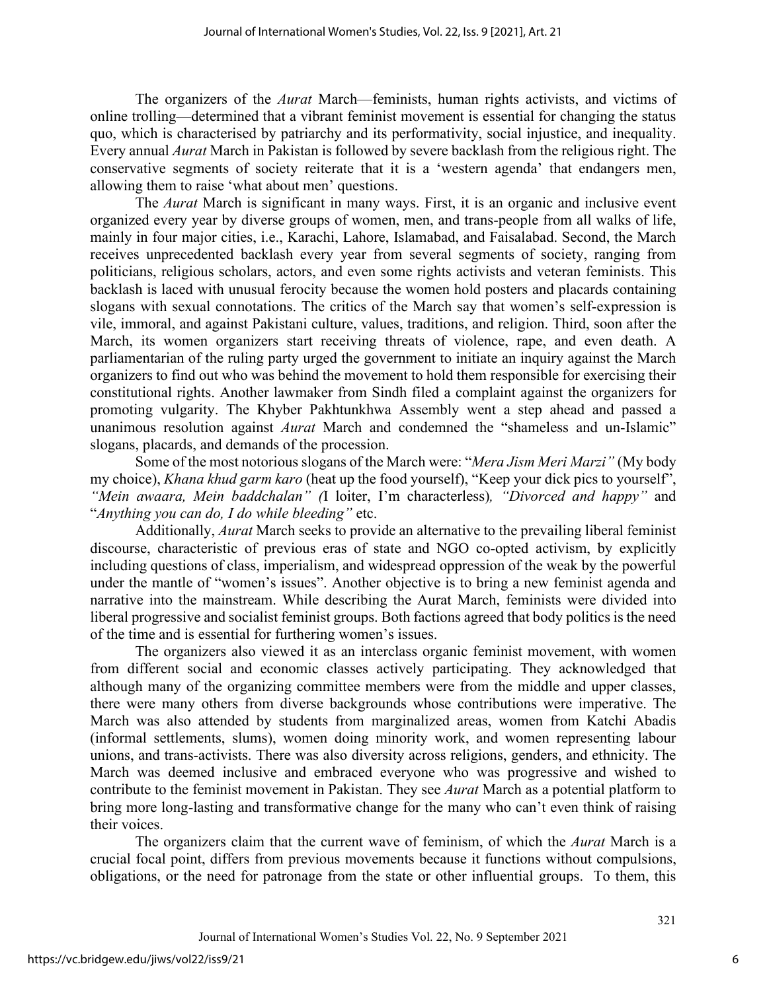The organizers of the *Aurat* March—feminists, human rights activists, and victims of online trolling—determined that a vibrant feminist movement is essential for changing the status quo, which is characterised by patriarchy and its performativity, social injustice, and inequality. Every annual *Aurat* March in Pakistan is followed by severe backlash from the religious right. The conservative segments of society reiterate that it is a 'western agenda' that endangers men, allowing them to raise 'what about men' questions.

The *Aurat* March is significant in many ways. First, it is an organic and inclusive event organized every year by diverse groups of women, men, and trans-people from all walks of life, mainly in four major cities, i.e., Karachi, Lahore, Islamabad, and Faisalabad. Second, the March receives unprecedented backlash every year from several segments of society, ranging from politicians, religious scholars, actors, and even some rights activists and veteran feminists. This backlash is laced with unusual ferocity because the women hold posters and placards containing slogans with sexual connotations. The critics of the March say that women's self-expression is vile, immoral, and against Pakistani culture, values, traditions, and religion. Third, soon after the March, its women organizers start receiving threats of violence, rape, and even death. A parliamentarian of the ruling party urged the government to initiate an inquiry against the March organizers to find out who was behind the movement to hold them responsible for exercising their constitutional rights. Another lawmaker from Sindh filed a complaint against the organizers for promoting vulgarity. The Khyber Pakhtunkhwa Assembly went a step ahead and passed a unanimous resolution against *Aurat* March and condemned the "shameless and un-Islamic" slogans, placards, and demands of the procession.

Some of the most notorious slogans of the March were: "*Mera Jism Meri Marzi"* (My body my choice), *Khana khud garm karo* (heat up the food yourself), "Keep your dick pics to yourself", *"Mein awaara, Mein baddchalan" (*I loiter, I'm characterless)*, "Divorced and happy"* and "*Anything you can do, I do while bleeding"* etc.

Additionally, *Aurat* March seeks to provide an alternative to the prevailing liberal feminist discourse, characteristic of previous eras of state and NGO co-opted activism, by explicitly including questions of class, imperialism, and widespread oppression of the weak by the powerful under the mantle of "women's issues". Another objective is to bring a new feminist agenda and narrative into the mainstream. While describing the Aurat March, feminists were divided into liberal progressive and socialist feminist groups. Both factions agreed that body politics is the need of the time and is essential for furthering women's issues.

The organizers also viewed it as an interclass organic feminist movement, with women from different social and economic classes actively participating. They acknowledged that although many of the organizing committee members were from the middle and upper classes, there were many others from diverse backgrounds whose contributions were imperative. The March was also attended by students from marginalized areas, women from Katchi Abadis (informal settlements, slums), women doing minority work, and women representing labour unions, and trans-activists. There was also diversity across religions, genders, and ethnicity. The March was deemed inclusive and embraced everyone who was progressive and wished to contribute to the feminist movement in Pakistan. They see *Aurat* March as a potential platform to bring more long-lasting and transformative change for the many who can't even think of raising their voices.

The organizers claim that the current wave of feminism, of which the *Aurat* March is a crucial focal point, differs from previous movements because it functions without compulsions, obligations, or the need for patronage from the state or other influential groups. To them, this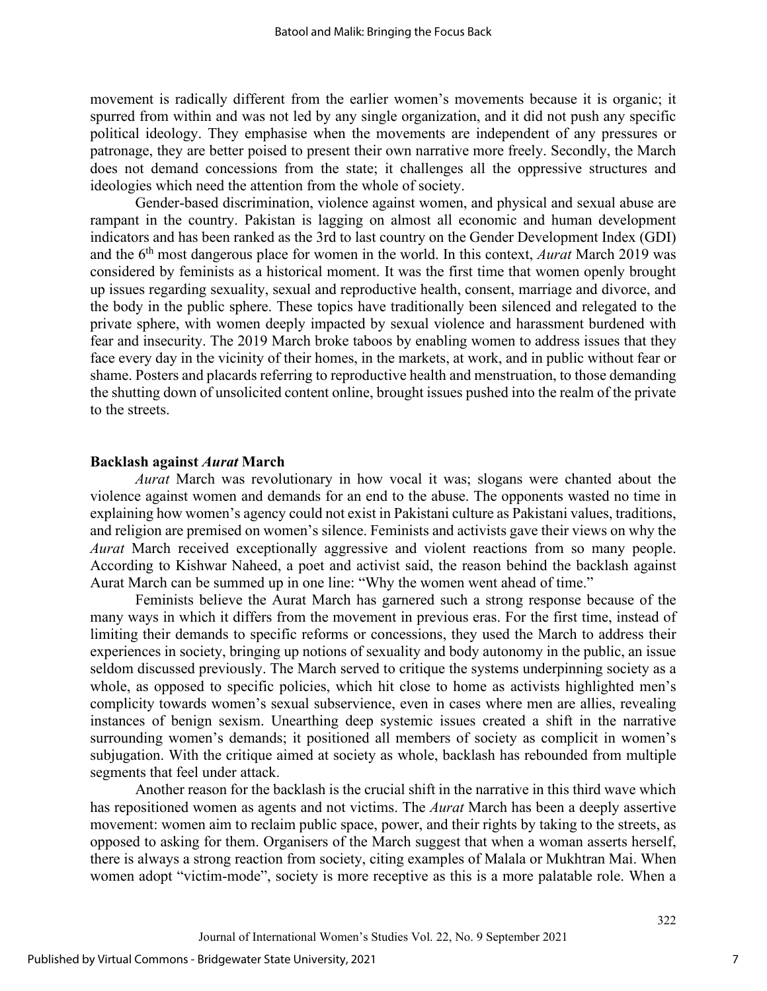movement is radically different from the earlier women's movements because it is organic; it spurred from within and was not led by any single organization, and it did not push any specific political ideology. They emphasise when the movements are independent of any pressures or patronage, they are better poised to present their own narrative more freely. Secondly, the March does not demand concessions from the state; it challenges all the oppressive structures and ideologies which need the attention from the whole of society.

Gender-based discrimination, violence against women, and physical and sexual abuse are rampant in the country. Pakistan is lagging on almost all economic and human development indicators and has been ranked as the 3rd to last country on the Gender Development Index (GDI) and the 6th most dangerous place for women in the world. In this context, *Aurat* March 2019 was considered by feminists as a historical moment. It was the first time that women openly brought up issues regarding sexuality, sexual and reproductive health, consent, marriage and divorce, and the body in the public sphere. These topics have traditionally been silenced and relegated to the private sphere, with women deeply impacted by sexual violence and harassment burdened with fear and insecurity. The 2019 March broke taboos by enabling women to address issues that they face every day in the vicinity of their homes, in the markets, at work, and in public without fear or shame. Posters and placards referring to reproductive health and menstruation, to those demanding the shutting down of unsolicited content online, brought issues pushed into the realm of the private to the streets.

#### **Backlash against** *Aurat* **March**

*Aurat* March was revolutionary in how vocal it was; slogans were chanted about the violence against women and demands for an end to the abuse. The opponents wasted no time in explaining how women's agency could not exist in Pakistani culture as Pakistani values, traditions, and religion are premised on women's silence. Feminists and activists gave their views on why the *Aurat* March received exceptionally aggressive and violent reactions from so many people. According to Kishwar Naheed, a poet and activist said, the reason behind the backlash against Aurat March can be summed up in one line: "Why the women went ahead of time."

Feminists believe the Aurat March has garnered such a strong response because of the many ways in which it differs from the movement in previous eras. For the first time, instead of limiting their demands to specific reforms or concessions, they used the March to address their experiences in society, bringing up notions of sexuality and body autonomy in the public, an issue seldom discussed previously. The March served to critique the systems underpinning society as a whole, as opposed to specific policies, which hit close to home as activists highlighted men's complicity towards women's sexual subservience, even in cases where men are allies, revealing instances of benign sexism. Unearthing deep systemic issues created a shift in the narrative surrounding women's demands; it positioned all members of society as complicit in women's subjugation. With the critique aimed at society as whole, backlash has rebounded from multiple segments that feel under attack.

Another reason for the backlash is the crucial shift in the narrative in this third wave which has repositioned women as agents and not victims. The *Aurat* March has been a deeply assertive movement: women aim to reclaim public space, power, and their rights by taking to the streets, as opposed to asking for them. Organisers of the March suggest that when a woman asserts herself, there is always a strong reaction from society, citing examples of Malala or Mukhtran Mai. When women adopt "victim-mode", society is more receptive as this is a more palatable role. When a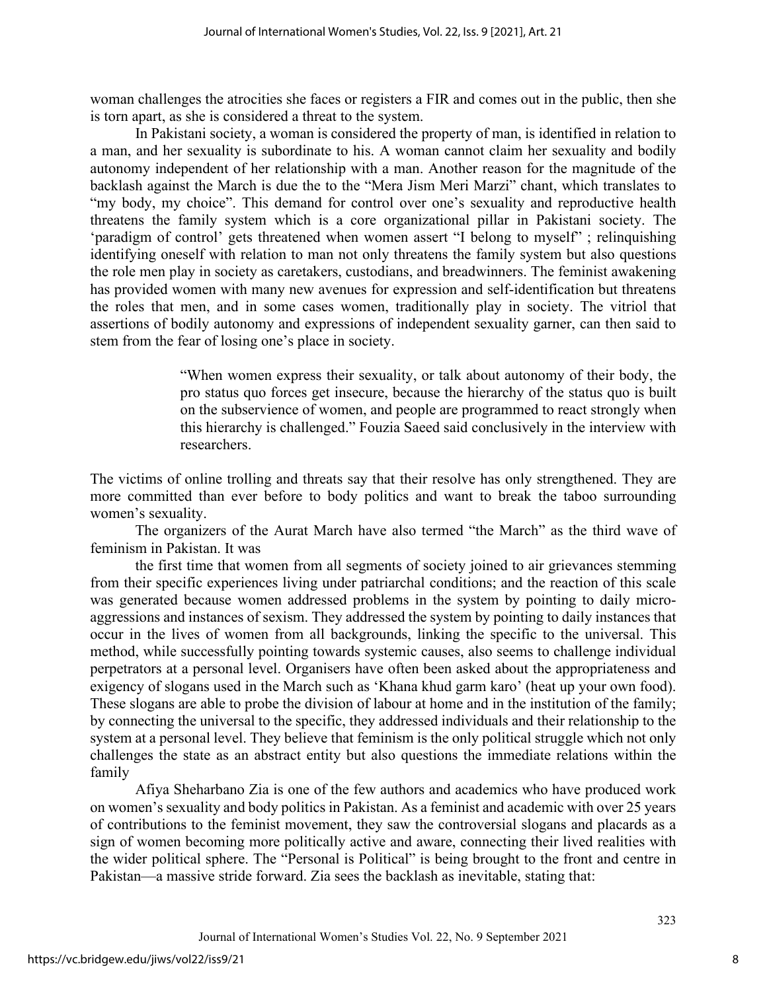woman challenges the atrocities she faces or registers a FIR and comes out in the public, then she is torn apart, as she is considered a threat to the system.

In Pakistani society, a woman is considered the property of man, is identified in relation to a man, and her sexuality is subordinate to his. A woman cannot claim her sexuality and bodily autonomy independent of her relationship with a man. Another reason for the magnitude of the backlash against the March is due the to the "Mera Jism Meri Marzi" chant, which translates to "my body, my choice". This demand for control over one's sexuality and reproductive health threatens the family system which is a core organizational pillar in Pakistani society. The 'paradigm of control' gets threatened when women assert "I belong to myself" ; relinquishing identifying oneself with relation to man not only threatens the family system but also questions the role men play in society as caretakers, custodians, and breadwinners. The feminist awakening has provided women with many new avenues for expression and self-identification but threatens the roles that men, and in some cases women, traditionally play in society. The vitriol that assertions of bodily autonomy and expressions of independent sexuality garner, can then said to stem from the fear of losing one's place in society.

> "When women express their sexuality, or talk about autonomy of their body, the pro status quo forces get insecure, because the hierarchy of the status quo is built on the subservience of women, and people are programmed to react strongly when this hierarchy is challenged." Fouzia Saeed said conclusively in the interview with researchers.

The victims of online trolling and threats say that their resolve has only strengthened. They are more committed than ever before to body politics and want to break the taboo surrounding women's sexuality.

The organizers of the Aurat March have also termed "the March" as the third wave of feminism in Pakistan. It was

the first time that women from all segments of society joined to air grievances stemming from their specific experiences living under patriarchal conditions; and the reaction of this scale was generated because women addressed problems in the system by pointing to daily microaggressions and instances of sexism. They addressed the system by pointing to daily instances that occur in the lives of women from all backgrounds, linking the specific to the universal. This method, while successfully pointing towards systemic causes, also seems to challenge individual perpetrators at a personal level. Organisers have often been asked about the appropriateness and exigency of slogans used in the March such as 'Khana khud garm karo' (heat up your own food). These slogans are able to probe the division of labour at home and in the institution of the family; by connecting the universal to the specific, they addressed individuals and their relationship to the system at a personal level. They believe that feminism is the only political struggle which not only challenges the state as an abstract entity but also questions the immediate relations within the family

Afiya Sheharbano Zia is one of the few authors and academics who have produced work on women's sexuality and body politics in Pakistan. As a feminist and academic with over 25 years of contributions to the feminist movement, they saw the controversial slogans and placards as a sign of women becoming more politically active and aware, connecting their lived realities with the wider political sphere. The "Personal is Political" is being brought to the front and centre in Pakistan—a massive stride forward. Zia sees the backlash as inevitable, stating that: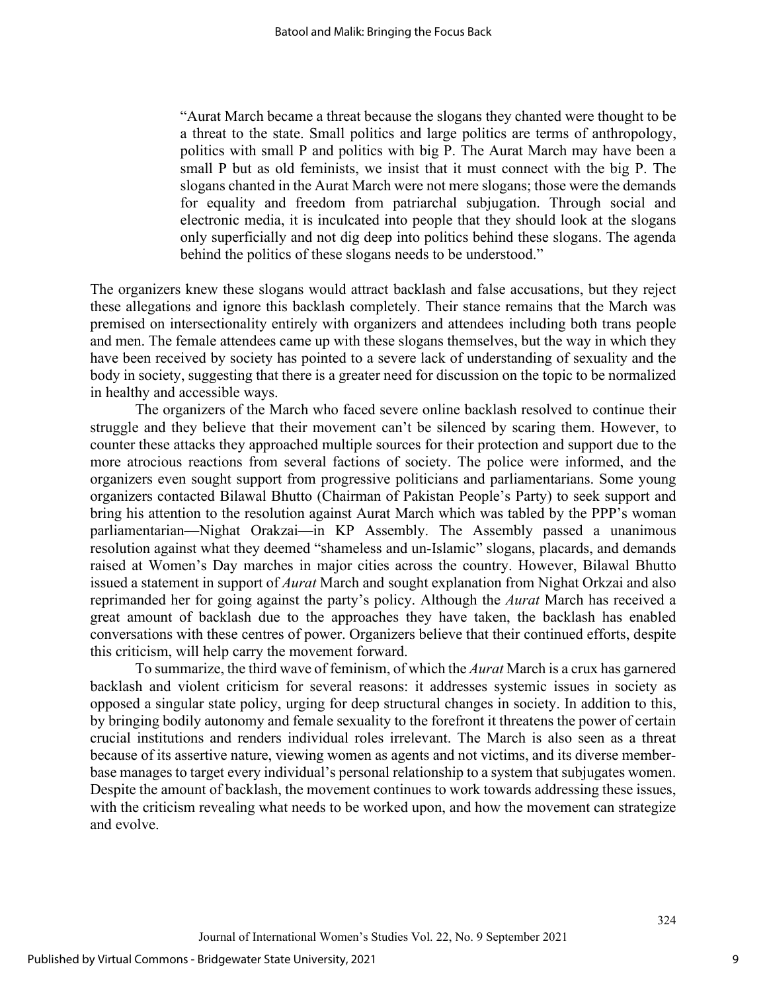"Aurat March became a threat because the slogans they chanted were thought to be a threat to the state. Small politics and large politics are terms of anthropology, politics with small P and politics with big P. The Aurat March may have been a small P but as old feminists, we insist that it must connect with the big P. The slogans chanted in the Aurat March were not mere slogans; those were the demands for equality and freedom from patriarchal subjugation. Through social and electronic media, it is inculcated into people that they should look at the slogans only superficially and not dig deep into politics behind these slogans. The agenda behind the politics of these slogans needs to be understood."

The organizers knew these slogans would attract backlash and false accusations, but they reject these allegations and ignore this backlash completely. Their stance remains that the March was premised on intersectionality entirely with organizers and attendees including both trans people and men. The female attendees came up with these slogans themselves, but the way in which they have been received by society has pointed to a severe lack of understanding of sexuality and the body in society, suggesting that there is a greater need for discussion on the topic to be normalized in healthy and accessible ways.

The organizers of the March who faced severe online backlash resolved to continue their struggle and they believe that their movement can't be silenced by scaring them. However, to counter these attacks they approached multiple sources for their protection and support due to the more atrocious reactions from several factions of society. The police were informed, and the organizers even sought support from progressive politicians and parliamentarians. Some young organizers contacted Bilawal Bhutto (Chairman of Pakistan People's Party) to seek support and bring his attention to the resolution against Aurat March which was tabled by the PPP's woman parliamentarian—Nighat Orakzai—in KP Assembly. The Assembly passed a unanimous resolution against what they deemed "shameless and un-Islamic" slogans, placards, and demands raised at Women's Day marches in major cities across the country. However, Bilawal Bhutto issued a statement in support of *Aurat* March and sought explanation from Nighat Orkzai and also reprimanded her for going against the party's policy. Although the *Aurat* March has received a great amount of backlash due to the approaches they have taken, the backlash has enabled conversations with these centres of power. Organizers believe that their continued efforts, despite this criticism, will help carry the movement forward.

To summarize, the third wave of feminism, of which the *Aurat* March is a crux has garnered backlash and violent criticism for several reasons: it addresses systemic issues in society as opposed a singular state policy, urging for deep structural changes in society. In addition to this, by bringing bodily autonomy and female sexuality to the forefront it threatens the power of certain crucial institutions and renders individual roles irrelevant. The March is also seen as a threat because of its assertive nature, viewing women as agents and not victims, and its diverse memberbase manages to target every individual's personal relationship to a system that subjugates women. Despite the amount of backlash, the movement continues to work towards addressing these issues, with the criticism revealing what needs to be worked upon, and how the movement can strategize and evolve.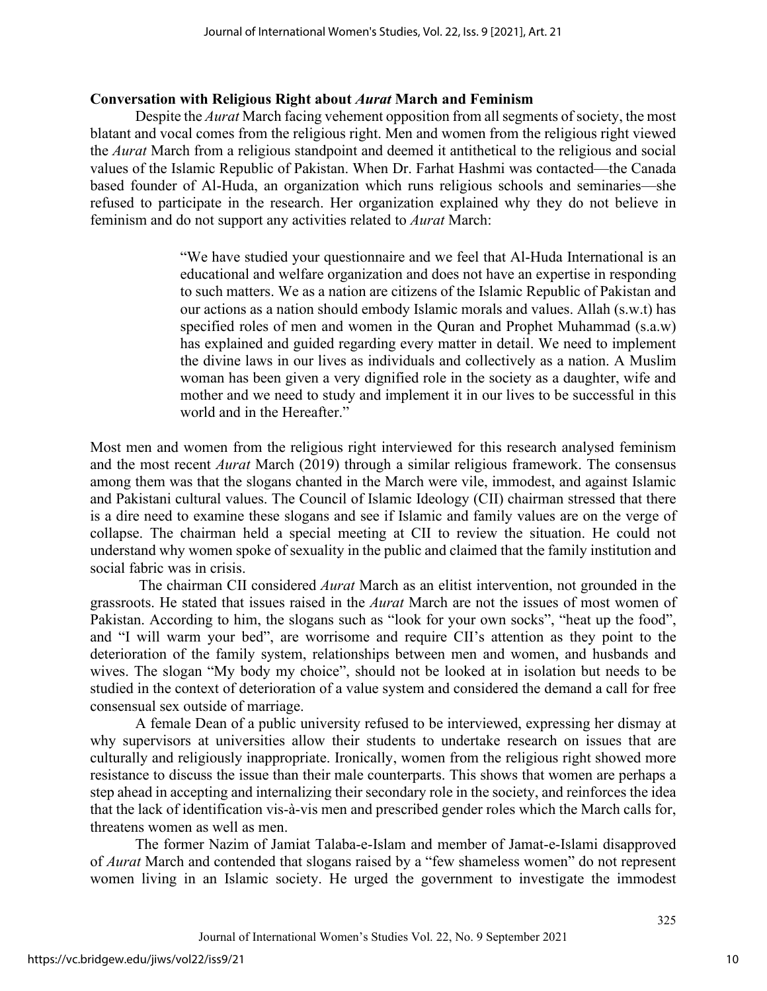#### **Conversation with Religious Right about** *Aurat* **March and Feminism**

Despite the *Aurat* March facing vehement opposition from all segments of society, the most blatant and vocal comes from the religious right. Men and women from the religious right viewed the *Aurat* March from a religious standpoint and deemed it antithetical to the religious and social values of the Islamic Republic of Pakistan. When Dr. Farhat Hashmi was contacted—the Canada based founder of Al-Huda, an organization which runs religious schools and seminaries—she refused to participate in the research. Her organization explained why they do not believe in feminism and do not support any activities related to *Aurat* March:

> "We have studied your questionnaire and we feel that Al-Huda International is an educational and welfare organization and does not have an expertise in responding to such matters. We as a nation are citizens of the Islamic Republic of Pakistan and our actions as a nation should embody Islamic morals and values. Allah (s.w.t) has specified roles of men and women in the Quran and Prophet Muhammad (s.a.w) has explained and guided regarding every matter in detail. We need to implement the divine laws in our lives as individuals and collectively as a nation. A Muslim woman has been given a very dignified role in the society as a daughter, wife and mother and we need to study and implement it in our lives to be successful in this world and in the Hereafter."

Most men and women from the religious right interviewed for this research analysed feminism and the most recent *Aurat* March (2019) through a similar religious framework. The consensus among them was that the slogans chanted in the March were vile, immodest, and against Islamic and Pakistani cultural values. The Council of Islamic Ideology (CII) chairman stressed that there is a dire need to examine these slogans and see if Islamic and family values are on the verge of collapse. The chairman held a special meeting at CII to review the situation. He could not understand why women spoke of sexuality in the public and claimed that the family institution and social fabric was in crisis.

The chairman CII considered *Aurat* March as an elitist intervention, not grounded in the grassroots. He stated that issues raised in the *Aurat* March are not the issues of most women of Pakistan. According to him, the slogans such as "look for your own socks", "heat up the food", and "I will warm your bed", are worrisome and require CII's attention as they point to the deterioration of the family system, relationships between men and women, and husbands and wives. The slogan "My body my choice", should not be looked at in isolation but needs to be studied in the context of deterioration of a value system and considered the demand a call for free consensual sex outside of marriage.

A female Dean of a public university refused to be interviewed, expressing her dismay at why supervisors at universities allow their students to undertake research on issues that are culturally and religiously inappropriate. Ironically, women from the religious right showed more resistance to discuss the issue than their male counterparts. This shows that women are perhaps a step ahead in accepting and internalizing their secondary role in the society, and reinforces the idea that the lack of identification vis-à-vis men and prescribed gender roles which the March calls for, threatens women as well as men.

The former Nazim of Jamiat Talaba-e-Islam and member of Jamat-e-Islami disapproved of *Aurat* March and contended that slogans raised by a "few shameless women" do not represent women living in an Islamic society. He urged the government to investigate the immodest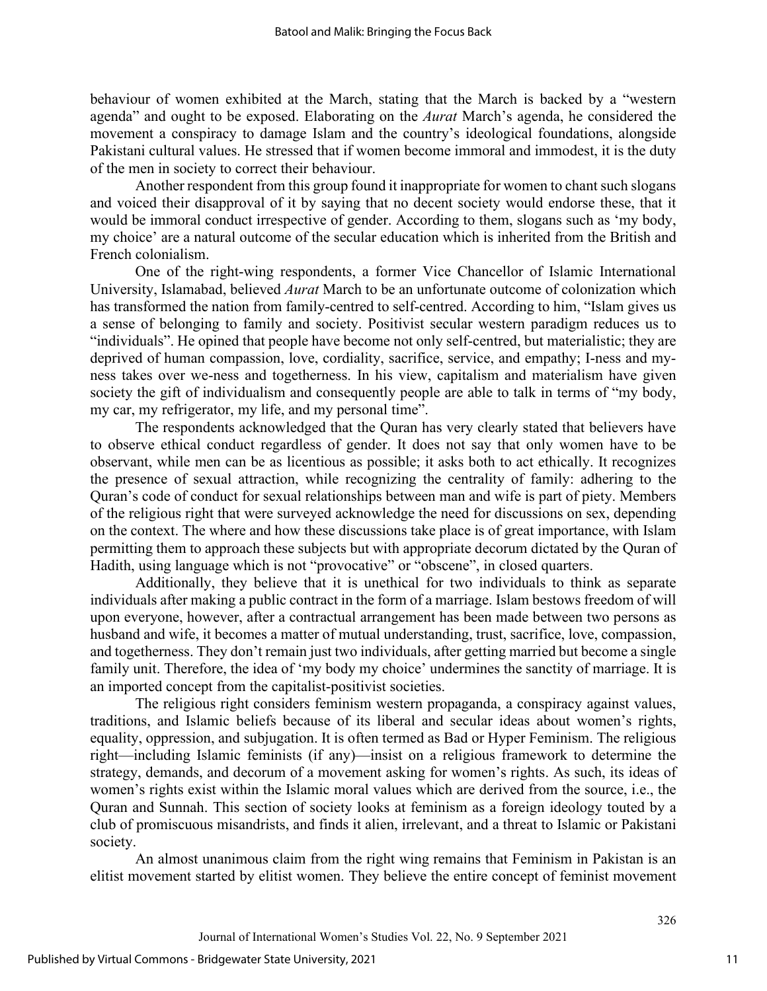behaviour of women exhibited at the March, stating that the March is backed by a "western agenda" and ought to be exposed. Elaborating on the *Aurat* March's agenda, he considered the movement a conspiracy to damage Islam and the country's ideological foundations, alongside Pakistani cultural values. He stressed that if women become immoral and immodest, it is the duty of the men in society to correct their behaviour.

Another respondent from this group found it inappropriate for women to chant such slogans and voiced their disapproval of it by saying that no decent society would endorse these, that it would be immoral conduct irrespective of gender. According to them, slogans such as 'my body, my choice' are a natural outcome of the secular education which is inherited from the British and French colonialism.

One of the right-wing respondents, a former Vice Chancellor of Islamic International University, Islamabad, believed *Aurat* March to be an unfortunate outcome of colonization which has transformed the nation from family-centred to self-centred. According to him, "Islam gives us a sense of belonging to family and society. Positivist secular western paradigm reduces us to "individuals". He opined that people have become not only self-centred, but materialistic; they are deprived of human compassion, love, cordiality, sacrifice, service, and empathy; I-ness and myness takes over we-ness and togetherness. In his view, capitalism and materialism have given society the gift of individualism and consequently people are able to talk in terms of "my body, my car, my refrigerator, my life, and my personal time".

The respondents acknowledged that the Quran has very clearly stated that believers have to observe ethical conduct regardless of gender. It does not say that only women have to be observant, while men can be as licentious as possible; it asks both to act ethically. It recognizes the presence of sexual attraction, while recognizing the centrality of family: adhering to the Quran's code of conduct for sexual relationships between man and wife is part of piety. Members of the religious right that were surveyed acknowledge the need for discussions on sex, depending on the context. The where and how these discussions take place is of great importance, with Islam permitting them to approach these subjects but with appropriate decorum dictated by the Quran of Hadith, using language which is not "provocative" or "obscene", in closed quarters.

Additionally, they believe that it is unethical for two individuals to think as separate individuals after making a public contract in the form of a marriage. Islam bestows freedom of will upon everyone, however, after a contractual arrangement has been made between two persons as husband and wife, it becomes a matter of mutual understanding, trust, sacrifice, love, compassion, and togetherness. They don't remain just two individuals, after getting married but become a single family unit. Therefore, the idea of 'my body my choice' undermines the sanctity of marriage. It is an imported concept from the capitalist-positivist societies.

The religious right considers feminism western propaganda, a conspiracy against values, traditions, and Islamic beliefs because of its liberal and secular ideas about women's rights, equality, oppression, and subjugation. It is often termed as Bad or Hyper Feminism. The religious right—including Islamic feminists (if any)—insist on a religious framework to determine the strategy, demands, and decorum of a movement asking for women's rights. As such, its ideas of women's rights exist within the Islamic moral values which are derived from the source, i.e., the Quran and Sunnah. This section of society looks at feminism as a foreign ideology touted by a club of promiscuous misandrists, and finds it alien, irrelevant, and a threat to Islamic or Pakistani society.

An almost unanimous claim from the right wing remains that Feminism in Pakistan is an elitist movement started by elitist women. They believe the entire concept of feminist movement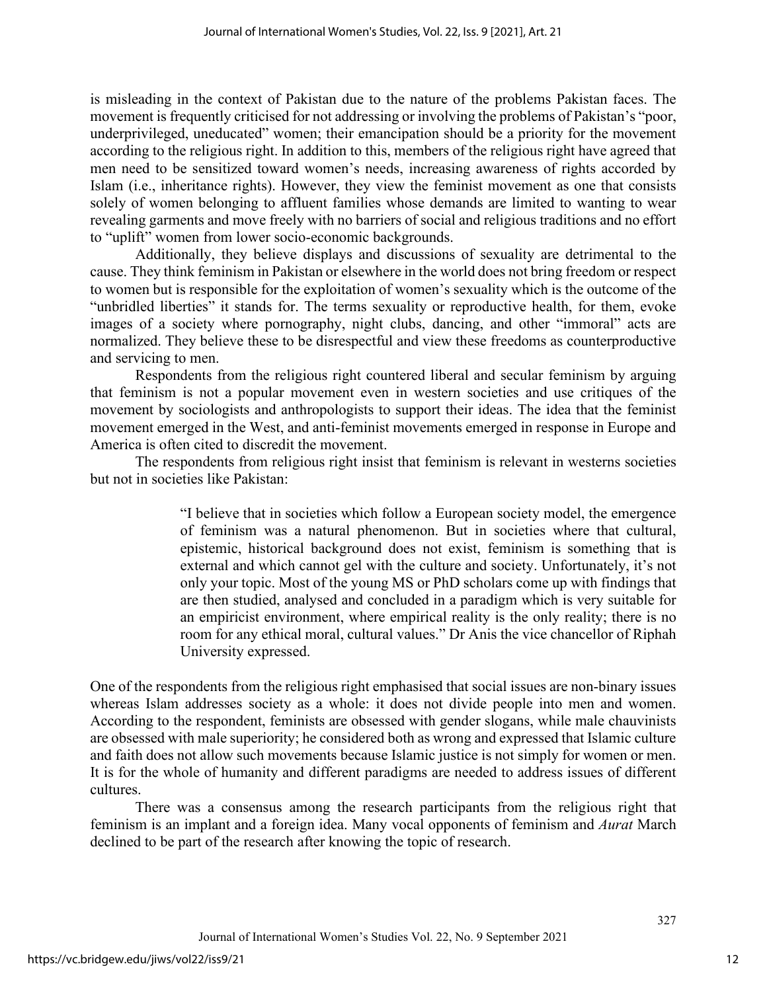is misleading in the context of Pakistan due to the nature of the problems Pakistan faces. The movement is frequently criticised for not addressing or involving the problems of Pakistan's "poor, underprivileged, uneducated" women; their emancipation should be a priority for the movement according to the religious right. In addition to this, members of the religious right have agreed that men need to be sensitized toward women's needs, increasing awareness of rights accorded by Islam (i.e., inheritance rights). However, they view the feminist movement as one that consists solely of women belonging to affluent families whose demands are limited to wanting to wear revealing garments and move freely with no barriers of social and religious traditions and no effort to "uplift" women from lower socio-economic backgrounds.

Additionally, they believe displays and discussions of sexuality are detrimental to the cause. They think feminism in Pakistan or elsewhere in the world does not bring freedom or respect to women but is responsible for the exploitation of women's sexuality which is the outcome of the "unbridled liberties" it stands for. The terms sexuality or reproductive health, for them, evoke images of a society where pornography, night clubs, dancing, and other "immoral" acts are normalized. They believe these to be disrespectful and view these freedoms as counterproductive and servicing to men.

Respondents from the religious right countered liberal and secular feminism by arguing that feminism is not a popular movement even in western societies and use critiques of the movement by sociologists and anthropologists to support their ideas. The idea that the feminist movement emerged in the West, and anti-feminist movements emerged in response in Europe and America is often cited to discredit the movement.

The respondents from religious right insist that feminism is relevant in westerns societies but not in societies like Pakistan:

> "I believe that in societies which follow a European society model, the emergence of feminism was a natural phenomenon. But in societies where that cultural, epistemic, historical background does not exist, feminism is something that is external and which cannot gel with the culture and society. Unfortunately, it's not only your topic. Most of the young MS or PhD scholars come up with findings that are then studied, analysed and concluded in a paradigm which is very suitable for an empiricist environment, where empirical reality is the only reality; there is no room for any ethical moral, cultural values." Dr Anis the vice chancellor of Riphah University expressed.

One of the respondents from the religious right emphasised that social issues are non-binary issues whereas Islam addresses society as a whole: it does not divide people into men and women. According to the respondent, feminists are obsessed with gender slogans, while male chauvinists are obsessed with male superiority; he considered both as wrong and expressed that Islamic culture and faith does not allow such movements because Islamic justice is not simply for women or men. It is for the whole of humanity and different paradigms are needed to address issues of different cultures.

There was a consensus among the research participants from the religious right that feminism is an implant and a foreign idea. Many vocal opponents of feminism and *Aurat* March declined to be part of the research after knowing the topic of research.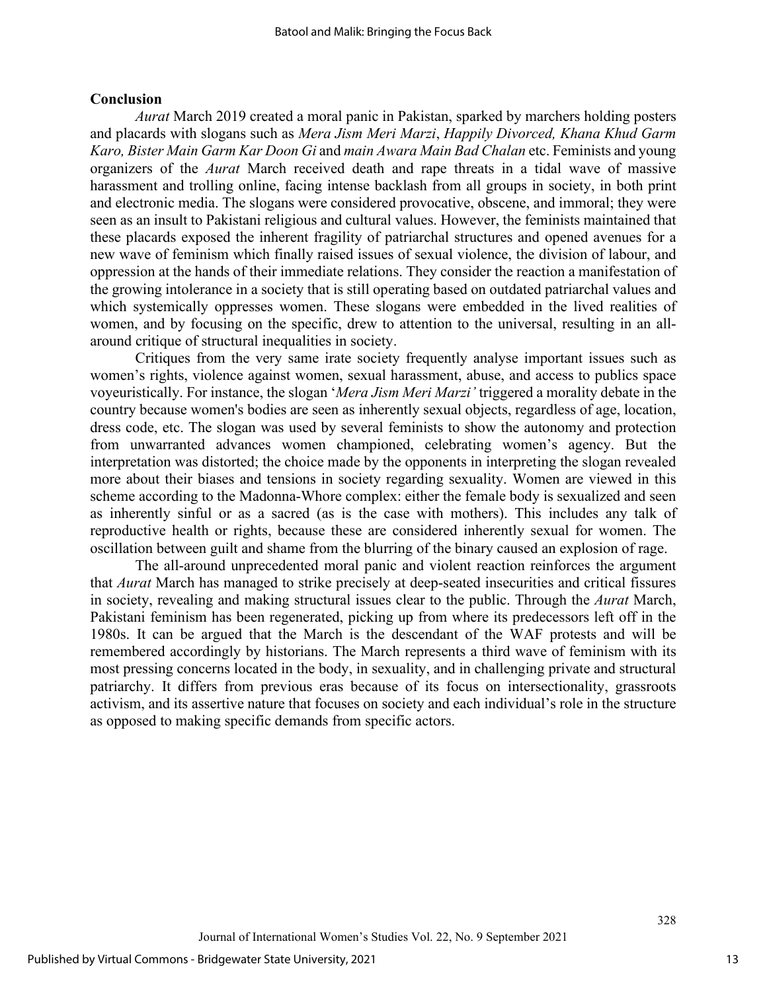#### **Conclusion**

*Aurat* March 2019 created a moral panic in Pakistan, sparked by marchers holding posters and placards with slogans such as *Mera Jism Meri Marzi*, *Happily Divorced, Khana Khud Garm Karo, Bister Main Garm Kar Doon Gi* and *main Awara Main Bad Chalan* etc. Feminists and young organizers of the *Aurat* March received death and rape threats in a tidal wave of massive harassment and trolling online, facing intense backlash from all groups in society, in both print and electronic media. The slogans were considered provocative, obscene, and immoral; they were seen as an insult to Pakistani religious and cultural values. However, the feminists maintained that these placards exposed the inherent fragility of patriarchal structures and opened avenues for a new wave of feminism which finally raised issues of sexual violence, the division of labour, and oppression at the hands of their immediate relations. They consider the reaction a manifestation of the growing intolerance in a society that is still operating based on outdated patriarchal values and which systemically oppresses women. These slogans were embedded in the lived realities of women, and by focusing on the specific, drew to attention to the universal, resulting in an allaround critique of structural inequalities in society.

Critiques from the very same irate society frequently analyse important issues such as women's rights, violence against women, sexual harassment, abuse, and access to publics space voyeuristically. For instance, the slogan '*Mera Jism Meri Marzi'* triggered a morality debate in the country because women's bodies are seen as inherently sexual objects, regardless of age, location, dress code, etc. The slogan was used by several feminists to show the autonomy and protection from unwarranted advances women championed, celebrating women's agency. But the interpretation was distorted; the choice made by the opponents in interpreting the slogan revealed more about their biases and tensions in society regarding sexuality. Women are viewed in this scheme according to the Madonna-Whore complex: either the female body is sexualized and seen as inherently sinful or as a sacred (as is the case with mothers). This includes any talk of reproductive health or rights, because these are considered inherently sexual for women. The oscillation between guilt and shame from the blurring of the binary caused an explosion of rage.

The all-around unprecedented moral panic and violent reaction reinforces the argument that *Aurat* March has managed to strike precisely at deep-seated insecurities and critical fissures in society, revealing and making structural issues clear to the public. Through the *Aurat* March, Pakistani feminism has been regenerated, picking up from where its predecessors left off in the 1980s. It can be argued that the March is the descendant of the WAF protests and will be remembered accordingly by historians. The March represents a third wave of feminism with its most pressing concerns located in the body, in sexuality, and in challenging private and structural patriarchy. It differs from previous eras because of its focus on intersectionality, grassroots activism, and its assertive nature that focuses on society and each individual's role in the structure as opposed to making specific demands from specific actors.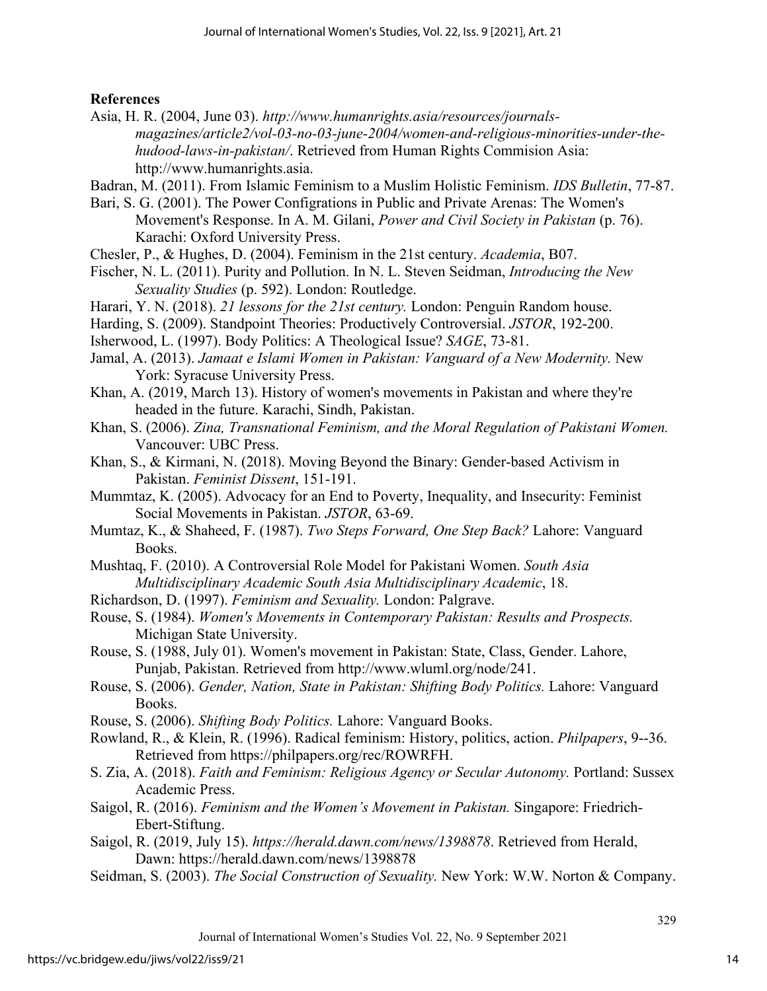#### **References**

- Asia, H. R. (2004, June 03). *http://www.humanrights.asia/resources/journalsmagazines/article2/vol-03-no-03-june-2004/women-and-religious-minorities-under-thehudood-laws-in-pakistan/*. Retrieved from Human Rights Commision Asia: http://www.humanrights.asia.
- Badran, M. (2011). From Islamic Feminism to a Muslim Holistic Feminism. *IDS Bulletin*, 77-87.
- Bari, S. G. (2001). The Power Configrations in Public and Private Arenas: The Women's Movement's Response. In A. M. Gilani, *Power and Civil Society in Pakistan* (p. 76). Karachi: Oxford University Press.
- Chesler, P., & Hughes, D. (2004). Feminism in the 21st century. *Academia*, B07.
- Fischer, N. L. (2011). Purity and Pollution. In N. L. Steven Seidman, *Introducing the New Sexuality Studies* (p. 592). London: Routledge.
- Harari, Y. N. (2018). *21 lessons for the 21st century.* London: Penguin Random house.
- Harding, S. (2009). Standpoint Theories: Productively Controversial. *JSTOR*, 192-200.
- Isherwood, L. (1997). Body Politics: A Theological Issue? *SAGE*, 73-81.
- Jamal, A. (2013). *Jamaat e Islami Women in Pakistan: Vanguard of a New Modernity.* New York: Syracuse University Press.
- Khan, A. (2019, March 13). History of women's movements in Pakistan and where they're headed in the future. Karachi, Sindh, Pakistan.
- Khan, S. (2006). *Zina, Transnational Feminism, and the Moral Regulation of Pakistani Women.* Vancouver: UBC Press.
- Khan, S., & Kirmani, N. (2018). Moving Beyond the Binary: Gender-based Activism in Pakistan. *Feminist Dissent*, 151-191.
- Mummtaz, K. (2005). Advocacy for an End to Poverty, Inequality, and Insecurity: Feminist Social Movements in Pakistan. *JSTOR*, 63-69.
- Mumtaz, K., & Shaheed, F. (1987). *Two Steps Forward, One Step Back?* Lahore: Vanguard Books.
- Mushtaq, F. (2010). A Controversial Role Model for Pakistani Women. *South Asia Multidisciplinary Academic South Asia Multidisciplinary Academic*, 18.
- Richardson, D. (1997). *Feminism and Sexuality.* London: Palgrave.
- Rouse, S. (1984). *Women's Movements in Contemporary Pakistan: Results and Prospects.* Michigan State University.
- Rouse, S. (1988, July 01). Women's movement in Pakistan: State, Class, Gender. Lahore, Punjab, Pakistan. Retrieved from http://www.wluml.org/node/241.
- Rouse, S. (2006). *Gender, Nation, State in Pakistan: Shifting Body Politics.* Lahore: Vanguard Books.
- Rouse, S. (2006). *Shifting Body Politics.* Lahore: Vanguard Books.
- Rowland, R., & Klein, R. (1996). Radical feminism: History, politics, action. *Philpapers*, 9--36. Retrieved from https://philpapers.org/rec/ROWRFH.
- S. Zia, A. (2018). *Faith and Feminism: Religious Agency or Secular Autonomy.* Portland: Sussex Academic Press.
- Saigol, R. (2016). *Feminism and the Women's Movement in Pakistan.* Singapore: Friedrich-Ebert-Stiftung.
- Saigol, R. (2019, July 15). *https://herald.dawn.com/news/1398878*. Retrieved from Herald, Dawn: https://herald.dawn.com/news/1398878
- Seidman, S. (2003). *The Social Construction of Sexuality.* New York: W.W. Norton & Company.